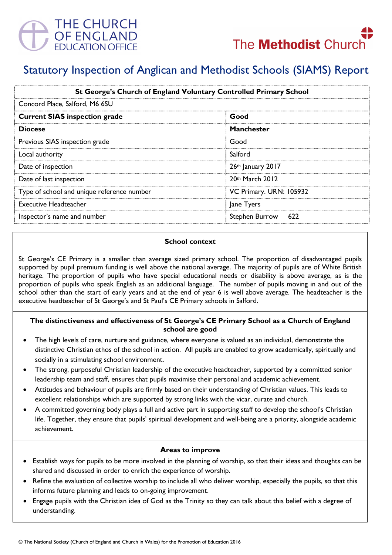

# Statutory Inspection of Anglican and Methodist Schools (SIAMS) Report

| St George's Church of England Voluntary Controlled Primary School<br>Concord Place, Salford, M6 6SU |                         |
|-----------------------------------------------------------------------------------------------------|-------------------------|
|                                                                                                     |                         |
| <b>Diocese</b>                                                                                      | <b>Manchester</b>       |
| Previous SIAS inspection grade                                                                      | Good                    |
| Local authority                                                                                     | Salford                 |
| Date of inspection                                                                                  | $26th$ January 2017     |
| Date of last inspection                                                                             | 20th March 2012         |
| Type of school and unique reference number                                                          | VC Primary. URN: 105932 |
| <b>Executive Headteacher</b>                                                                        | Jane Tyers              |
| Inspector's name and number                                                                         | Stephen Burrow 622      |

#### School context

St George's CE Primary is a smaller than average sized primary school. The proportion of disadvantaged pupils supported by pupil premium funding is well above the national average. The majority of pupils are of White British heritage. The proportion of pupils who have special educational needs or disability is above average, as is the proportion of pupils who speak English as an additional language. The number of pupils moving in and out of the school other than the start of early years and at the end of year 6 is well above average. The headteacher is the executive headteacher of St George's and St Paul's CE Primary schools in Salford.

## The distinctiveness and effectiveness of St George's CE Primary School as a Church of England school are good

- The high levels of care, nurture and guidance, where everyone is valued as an individual, demonstrate the distinctive Christian ethos of the school in action. All pupils are enabled to grow academically, spiritually and socially in a stimulating school environment.
- The strong, purposeful Christian leadership of the executive headteacher, supported by a committed senior leadership team and staff, ensures that pupils maximise their personal and academic achievement.
- Attitudes and behaviour of pupils are firmly based on their understanding of Christian values. This leads to excellent relationships which are supported by strong links with the vicar, curate and church.
- A committed governing body plays a full and active part in supporting staff to develop the school's Christian life. Together, they ensure that pupils' spiritual development and well-being are a priority, alongside academic achievement.

#### Areas to improve

- Establish ways for pupils to be more involved in the planning of worship, so that their ideas and thoughts can be shared and discussed in order to enrich the experience of worship.
- Refine the evaluation of collective worship to include all who deliver worship, especially the pupils, so that this informs future planning and leads to on-going improvement.
- Engage pupils with the Christian idea of God as the Trinity so they can talk about this belief with a degree of understanding.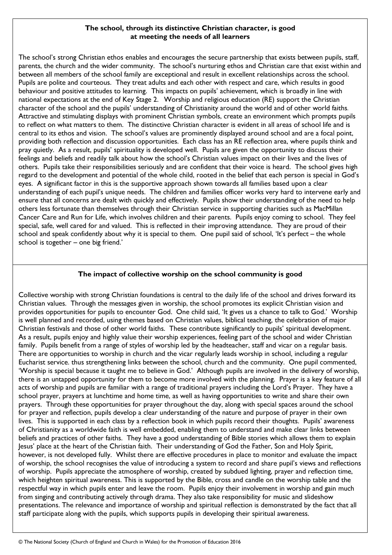## The school, through its distinctive Christian character, is good at meeting the needs of all learners

The school's strong Christian ethos enables and encourages the secure partnership that exists between pupils, staff, parents, the church and the wider community. The school's nurturing ethos and Christian care that exist within and between all members of the school family are exceptional and result in excellent relationships across the school. Pupils are polite and courteous. They treat adults and each other with respect and care, which results in good behaviour and positive attitudes to learning. This impacts on pupils' achievement, which is broadly in line with national expectations at the end of Key Stage 2. Worship and religious education (RE) support the Christian character of the school and the pupils' understanding of Christianity around the world and of other world faiths. Attractive and stimulating displays with prominent Christian symbols, create an environment which prompts pupils to reflect on what matters to them. The distinctive Christian character is evident in all areas of school life and is central to its ethos and vision. The school's values are prominently displayed around school and are a focal point, providing both reflection and discussion opportunities. Each class has an RE reflection area, where pupils think and pray quietly. As a result, pupils' spirituality is developed well. Pupils are given the opportunity to discuss their feelings and beliefs and readily talk about how the school's Christian values impact on their lives and the lives of others. Pupils take their responsibilities seriously and are confident that their voice is heard. The school gives high regard to the development and potential of the whole child, rooted in the belief that each person is special in God's eyes. A significant factor in this is the supportive approach shown towards all families based upon a clear understanding of each pupil's unique needs. The children and families officer works very hard to intervene early and ensure that all concerns are dealt with quickly and effectively. Pupils show their understanding of the need to help others less fortunate than themselves through their Christian service in supporting charities such as MacMillan Cancer Care and Run for Life, which involves children and their parents. Pupils enjoy coming to school. They feel special, safe, well cared for and valued. This is reflected in their improving attendance. They are proud of their school and speak confidently about why it is special to them. One pupil said of school, 'It's perfect – the whole school is together – one big friend.'

## The impact of collective worship on the school community is good

Collective worship with strong Christian foundations is central to the daily life of the school and drives forward its Christian values. Through the messages given in worship, the school promotes its explicit Christian vision and provides opportunities for pupils to encounter God. One child said, 'It gives us a chance to talk to God.' Worship is well planned and recorded, using themes based on Christian values, biblical teaching, the celebration of major Christian festivals and those of other world faiths. These contribute significantly to pupils' spiritual development. As a result, pupils enjoy and highly value their worship experiences, feeling part of the school and wider Christian family. Pupils benefit from a range of styles of worship led by the headteacher, staff and vicar on a regular basis. There are opportunities to worship in church and the vicar regularly leads worship in school, including a regular Eucharist service. thus strengthening links between the school, church and the community. One pupil commented, 'Worship is special because it taught me to believe in God.' Although pupils are involved in the delivery of worship, there is an untapped opportunity for them to become more involved with the planning. Prayer is a key feature of all acts of worship and pupils are familiar with a range of traditional prayers including the Lord's Prayer. They have a school prayer, prayers at lunchtime and home time, as well as having opportunities to write and share their own prayers. Through these opportunities for prayer throughout the day, along with special spaces around the school for prayer and reflection, pupils develop a clear understanding of the nature and purpose of prayer in their own lives. This is supported in each class by a reflection book in which pupils record their thoughts. Pupils' awareness of Christianity as a worldwide faith is well embedded, enabling them to understand and make clear links between beliefs and practices of other faiths. They have a good understanding of Bible stories which allows them to explain Jesus' place at the heart of the Christian faith. Their understanding of God the Father, Son and Holy Spirit, however, is not developed fully. Whilst there are effective procedures in place to monitor and evaluate the impact of worship, the school recognises the value of introducing a system to record and share pupil's views and reflections of worship. Pupils appreciate the atmosphere of worship, created by subdued lighting, prayer and reflection time, which heighten spiritual awareness. This is supported by the Bible, cross and candle on the worship table and the respectful way in which pupils enter and leave the room. Pupils enjoy their involvement in worship and gain much from singing and contributing actively through drama. They also take responsibility for music and slideshow presentations. The relevance and importance of worship and spiritual reflection is demonstrated by the fact that all staff participate along with the pupils, which supports pupils in developing their spiritual awareness.